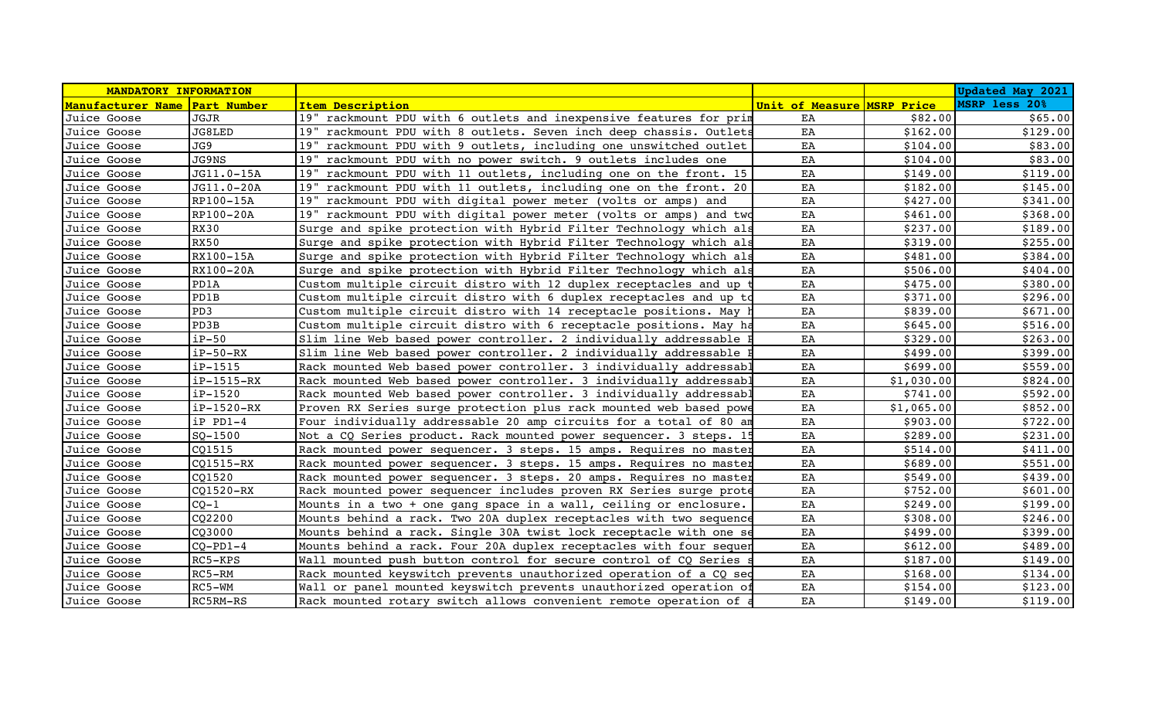| MANDATORY INFORMATION         |              |                                                                    |                            |            | <b>Updated May 2021</b> |
|-------------------------------|--------------|--------------------------------------------------------------------|----------------------------|------------|-------------------------|
| Manufacturer Name Part Number |              | <b>Item Description</b>                                            | Unit of Measure MSRP Price |            | MSRP less 20%           |
| Juice Goose                   | JGJR         | 19" rackmount PDU with 6 outlets and inexpensive features for prin | EA                         | \$82.00    | \$65.00                 |
| Juice Goose                   | JG8LED       | 19" rackmount PDU with 8 outlets. Seven inch deep chassis. Outlets | EA                         | \$162.00   | \$129.00                |
| Juice Goose                   | JG9          | 19" rackmount PDU with 9 outlets, including one unswitched outlet  | EA                         | \$104.00   | \$83.00                 |
| Juice Goose                   | JG9NS        | 19" rackmount PDU with no power switch. 9 outlets includes one     | EA                         | \$104.00   | \$83.00                 |
| Juice Goose                   | JG11.0-15A   | 19" rackmount PDU with 11 outlets, including one on the front. 15  | EA                         | \$149.00   | \$119.00                |
| Juice Goose                   | JG11.0-20A   | 19" rackmount PDU with 11 outlets, including one on the front. 20  | EA                         | \$182.00   | \$145.00                |
| Juice Goose                   | RP100-15A    | 19" rackmount PDU with digital power meter (volts or amps) and     | EA                         | \$427.00   | \$341.00                |
| Juice Goose                   | RP100-20A    | 19" rackmount PDU with digital power meter (volts or amps) and two | EA                         | \$461.00   | \$368.00                |
| Juice Goose                   | <b>RX30</b>  | Surge and spike protection with Hybrid Filter Technology which al: | EA                         | \$237.00   | \$189.00                |
| Juice Goose                   | <b>RX50</b>  | Surge and spike protection with Hybrid Filter Technology which als | EA                         | \$319.00   | \$255.00                |
| Juice Goose                   | RX100-15A    | Surge and spike protection with Hybrid Filter Technology which als | EA                         | \$481.00   | \$384.00                |
| Juice Goose                   | RX100-20A    | Surge and spike protection with Hybrid Filter Technology which als | EA                         | \$506.00   | \$404.00                |
| Juice Goose                   | PD1A         | Custom multiple circuit distro with 12 duplex receptacles and up   | EA                         | \$475.00   | \$380.00                |
| Juice Goose                   | PD1B         | Custom multiple circuit distro with 6 duplex receptacles and up to | EA                         | \$371.00   | \$296.00                |
| Juice Goose                   | PD3          | Custom multiple circuit distro with 14 receptacle positions. May   | EA                         | \$839.00   | \$671.00                |
| Juice Goose                   | PD3B         | Custom multiple circuit distro with 6 receptacle positions. May he | EA                         | \$645.00   | \$516.00                |
| Juice Goose                   | $iP-50$      | Slim line Web based power controller. 2 individually addressable 1 | EA                         | \$329.00   | \$263.00                |
| Juice Goose                   | $iP-50-RX$   | Slim line Web based power controller. 2 individually addressable   | EA                         | \$499.00   | \$399.00                |
| Juice Goose                   | $ip-1515$    | Rack mounted Web based power controller. 3 individually addressabl | EA                         | \$699.00   | \$559.00                |
| Juice Goose                   | $ip-1515-RX$ | Rack mounted Web based power controller. 3 individually addressabl | EA                         | \$1,030.00 | \$824.00                |
| Juice Goose                   | $iP-1520$    | Rack mounted Web based power controller. 3 individually addressabl | EA                         | \$741.00   | \$592.00                |
| Juice Goose                   | $ip-1520-RX$ | Proven RX Series surge protection plus rack mounted web based powe | EA                         | \$1,065.00 | \$852.00                |
| Juice Goose                   | $iP$ $PD1-4$ | Four individually addressable 20 amp circuits for a total of 80 am | EA                         | \$903.00   | \$722.00                |
| Juice Goose                   | $SO-1500$    | Not a CQ Series product. Rack mounted power sequencer. 3 steps. 19 | EA                         | \$289.00   | \$231.00                |
| Juice Goose                   | CQ1515       | Rack mounted power sequencer. 3 steps. 15 amps. Requires no master | EA                         | \$514.00   | \$411.00                |
| Juice Goose                   | CQ1515-RX    | Rack mounted power sequencer. 3 steps. 15 amps. Requires no master | EA                         | \$689.00   | \$551.00                |
| Juice Goose                   | CQ1520       | Rack mounted power sequencer. 3 steps. 20 amps. Requires no master | EA                         | \$549.00   | \$439.00                |
| Juice Goose                   | CQ1520-RX    | Rack mounted power sequencer includes proven RX Series surge prote | EA                         | \$752.00   | \$601.00                |
| Juice Goose                   | $CQ-1$       | Mounts in a two + one gang space in a wall, ceiling or enclosure.  | EA                         | \$249.00   | \$199.00                |
| Juice Goose                   | CQ2200       | Mounts behind a rack. Two 20A duplex receptacles with two sequence | EA                         | \$308.00   | \$246.00                |
| Juice Goose                   | CQ3000       | Mounts behind a rack. Single 30A twist lock receptacle with one se | EA                         | \$499.00   | \$399.00                |
| Juice Goose                   | $CQ-PD1-4$   | Mounts behind a rack. Four 20A duplex receptacles with four sequer | EA                         | \$612.00   | \$489.00                |
| Juice Goose                   | $RC5-KPS$    | Wall mounted push button control for secure control of CQ Series   | EA                         | \$187.00   | \$149.00                |
| Juice Goose                   | $RC5 - RM$   | Rack mounted keyswitch prevents unauthorized operation of a CQ seq | EA                         | \$168.00   | \$134.00                |
| Juice Goose                   | $RC5-WM$     | Wall or panel mounted keyswitch prevents unauthorized operation o  | EA                         | \$154.00   | \$123.00                |
| Juice Goose                   | RC5RM-RS     | Rack mounted rotary switch allows convenient remote operation of a | EA                         | \$149.00   | \$119.00                |